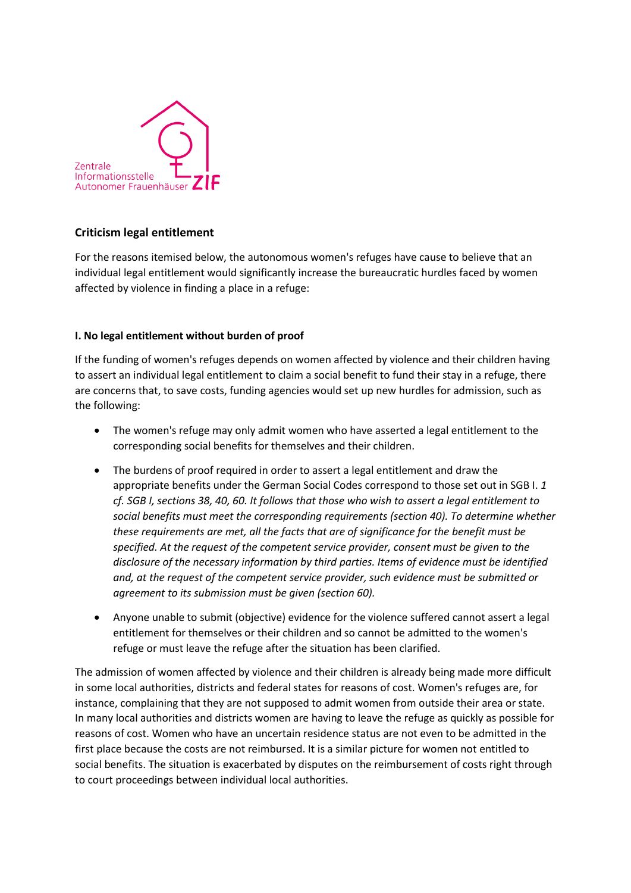

# **Criticism legal entitlement**

For the reasons itemised below, the autonomous women's refuges have cause to believe that an individual legal entitlement would significantly increase the bureaucratic hurdles faced by women affected by violence in finding a place in a refuge:

## **I. No legal entitlement without burden of proof**

If the funding of women's refuges depends on women affected by violence and their children having to assert an individual legal entitlement to claim a social benefit to fund their stay in a refuge, there are concerns that, to save costs, funding agencies would set up new hurdles for admission, such as the following:

- The women's refuge may only admit women who have asserted a legal entitlement to the corresponding social benefits for themselves and their children.
- The burdens of proof required in order to assert a legal entitlement and draw the appropriate benefits under the German Social Codes correspond to those set out in SGB I. *1 cf. SGB I, sections 38, 40, 60. It follows that those who wish to assert a legal entitlement to social benefits must meet the corresponding requirements (section 40). To determine whether these requirements are met, all the facts that are of significance for the benefit must be specified. At the request of the competent service provider, consent must be given to the disclosure of the necessary information by third parties. Items of evidence must be identified and, at the request of the competent service provider, such evidence must be submitted or agreement to its submission must be given (section 60).*
- Anyone unable to submit (objective) evidence for the violence suffered cannot assert a legal entitlement for themselves or their children and so cannot be admitted to the women's refuge or must leave the refuge after the situation has been clarified.

The admission of women affected by violence and their children is already being made more difficult in some local authorities, districts and federal states for reasons of cost. Women's refuges are, for instance, complaining that they are not supposed to admit women from outside their area or state. In many local authorities and districts women are having to leave the refuge as quickly as possible for reasons of cost. Women who have an uncertain residence status are not even to be admitted in the first place because the costs are not reimbursed. It is a similar picture for women not entitled to social benefits. The situation is exacerbated by disputes on the reimbursement of costs right through to court proceedings between individual local authorities.